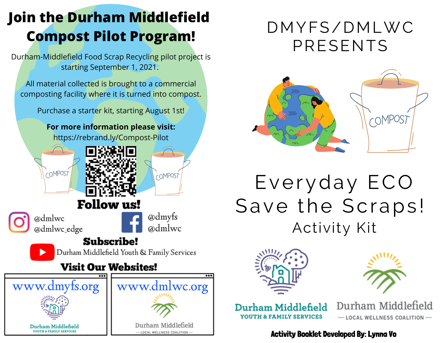## **Join the Durham Middlefield Compost Pilot Program!**

Durham-Middlefield Food Scrap Recycling pilot project is starting September 1, 2021.

All material collected is brought to a commercial composting facility where it is turned into compost.

Purchase a starter kit, starting August 1st!

**For more information please visit:** https://rebrand.ly/Compost-Pilot

**Subscribe!** 

**Visit Our Websites!** 

Durham Middlefield Youth & Family Services



www.dmyfs.org

Durham Middlefield **VOUTH & FAMILY SERVICES** 



www.dmlwc.org

Durham Middlefield

 $-$  LOCAL WELLNESS COALITION

COMPOST

## DMYFS/DMLWC PRESENTS



# Everyday ECO Save the Scraps! Activity Kit





Durham Middlefield **YOUTH & FAMILY SERVICES** 

Durham Middlefield - LOCAL WELLNESS COALITION-

Activity Booklet Developed By: Lynna Vo